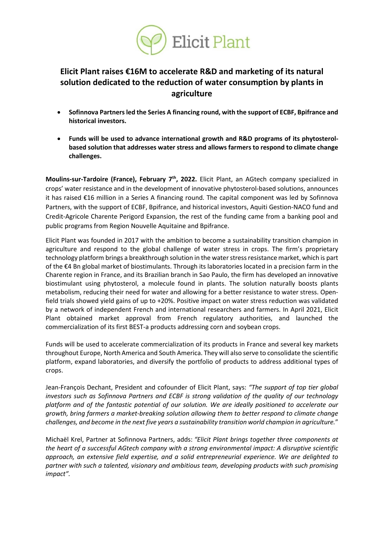

## **Elicit Plant raises €16M to accelerate R&D and marketing of its natural solution dedicated to the reduction of water consumption by plants in agriculture**

- **Sofinnova Partnersled the Series A financing round, with the support of ECBF, Bpifrance and historical investors.**
- **Funds will be used to advance international growth and R&D programs of its phytosterolbased solution that addresses water stress and allows farmers to respond to climate change challenges.**

**Moulins-sur-Tardoire (France), February 7th, 2022.** Elicit Plant, an AGtech company specialized in crops' water resistance and in the development of innovative phytosterol-based solutions, announces it has raised €16 million in a Series A financing round. The capital component was led by Sofinnova Partners, with the support of ECBF, Bpifrance, and historical investors, Aquiti Gestion-NACO fund and Credit-Agricole Charente Perigord Expansion, the rest of the funding came from a banking pool and public programs from Region Nouvelle Aquitaine and Bpifrance.

Elicit Plant was founded in 2017 with the ambition to become a sustainability transition champion in agriculture and respond to the global challenge of water stress in crops. The firm's proprietary technology platform brings a breakthrough solution in the water stress resistance market, which is part of the €4 Bn global market of biostimulants. Through its laboratories located in a precision farm in the Charente region in France, and its Brazilian branch in Sao Paulo, the firm has developed an innovative biostimulant using phytosterol, a molecule found in plants. The solution naturally boosts plants metabolism, reducing their need for water and allowing for a better resistance to water stress. Openfield trials showed yield gains of up to +20%. Positive impact on water stress reduction was validated by a network of independent French and international researchers and farmers. In April 2021, Elicit Plant obtained market approval from French regulatory authorities, and launched the commercialization of its first BEST-a products addressing corn and soybean crops.

Funds will be used to accelerate commercialization of its products in France and several key markets throughout Europe, North America and South America. They will also serve to consolidate the scientific platform, expand laboratories, and diversify the portfolio of products to address additional types of crops.

Jean-François Dechant, President and cofounder of Elicit Plant, says: *"The support of top tier global investors such as Sofinnova Partners and ECBF is strong validation of the quality of our technology platform and of the fantastic potential of our solution. We are ideally positioned to accelerate our growth, bring farmers a market-breaking solution allowing them to better respond to climate change challenges, and become in the next five years a sustainability transition world champion in agriculture.*"

Michaël Krel, Partner at Sofinnova Partners, adds: *"Elicit Plant brings together three components at the heart of a successful AGtech company with a strong environmental impact: A disruptive scientific approach, an extensive field expertise, and a solid entrepreneurial experience. We are delighted to partner with such a talented, visionary and ambitious team, developing products with such promising impact".*